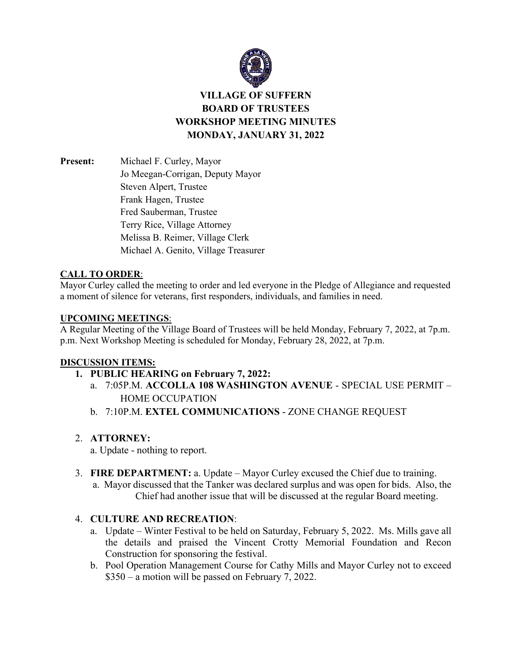

**VILLAGE OF SUFFERN BOARD OF TRUSTEES WORKSHOP MEETING MINUTES MONDAY, JANUARY 31, 2022**

**Present:** Michael F. Curley, Mayor Jo Meegan-Corrigan, Deputy Mayor Steven Alpert, Trustee Frank Hagen, Trustee Fred Sauberman, Trustee Terry Rice, Village Attorney Melissa B. Reimer, Village Clerk Michael A. Genito, Village Treasurer

#### **CALL TO ORDER**:

Mayor Curley called the meeting to order and led everyone in the Pledge of Allegiance and requested a moment of silence for veterans, first responders, individuals, and families in need.

#### **UPCOMING MEETINGS**:

A Regular Meeting of the Village Board of Trustees will be held Monday, February 7, 2022, at 7p.m. p.m. Next Workshop Meeting is scheduled for Monday, February 28, 2022, at 7p.m.

### **DISCUSSION ITEMS:**

- **1. PUBLIC HEARING on February 7, 2022:**
	- a. 7:05P.M. **ACCOLLA 108 WASHINGTON AVENUE** SPECIAL USE PERMIT HOME OCCUPATION
	- b. 7:10P.M. **EXTEL COMMUNICATIONS** ZONE CHANGE REQUEST

### 2. **ATTORNEY:**

a. Update - nothing to report.

3. **FIRE DEPARTMENT:** a. Update – Mayor Curley excused the Chief due to training. a. Mayor discussed that the Tanker was declared surplus and was open for bids. Also, the Chief had another issue that will be discussed at the regular Board meeting.

### 4. **CULTURE AND RECREATION**:

- a. Update Winter Festival to be held on Saturday, February 5, 2022. Ms. Mills gave all the details and praised the Vincent Crotty Memorial Foundation and Recon Construction for sponsoring the festival.
- b. Pool Operation Management Course for Cathy Mills and Mayor Curley not to exceed \$350 – a motion will be passed on February 7, 2022.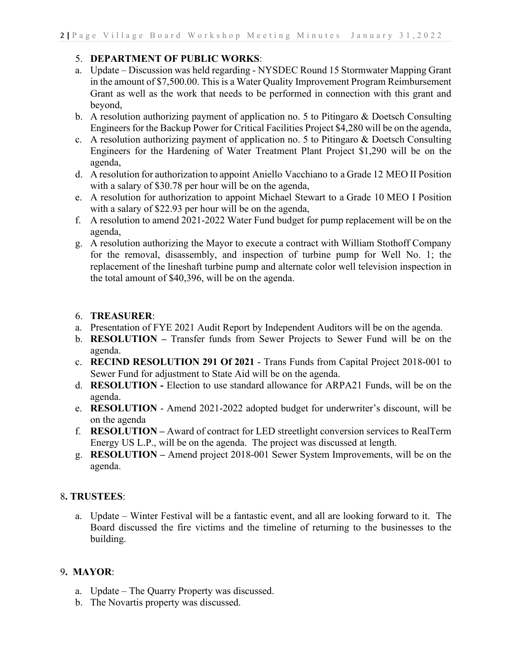### 5. **DEPARTMENT OF PUBLIC WORKS**:

- a. Update Discussion was held regarding NYSDEC Round 15 Stormwater Mapping Grant in the amount of \$7,500.00. This is a Water Quality Improvement Program Reimbursement Grant as well as the work that needs to be performed in connection with this grant and beyond,
- b. A resolution authorizing payment of application no. 5 to Pitingaro & Doetsch Consulting Engineers for the Backup Power for Critical Facilities Project \$4,280 will be on the agenda,
- c. A resolution authorizing payment of application no. 5 to Pitingaro & Doetsch Consulting Engineers for the Hardening of Water Treatment Plant Project \$1,290 will be on the agenda,
- d. A resolution for authorization to appoint Aniello Vacchiano to a Grade 12 MEO II Position with a salary of \$30.78 per hour will be on the agenda,
- e. A resolution for authorization to appoint Michael Stewart to a Grade 10 MEO I Position with a salary of \$22.93 per hour will be on the agenda,
- f. A resolution to amend 2021-2022 Water Fund budget for pump replacement will be on the agenda,
- g. A resolution authorizing the Mayor to execute a contract with William Stothoff Company for the removal, disassembly, and inspection of turbine pump for Well No. 1; the replacement of the lineshaft turbine pump and alternate color well television inspection in the total amount of \$40,396, will be on the agenda.

### 6. **TREASURER**:

- a. Presentation of FYE 2021 Audit Report by Independent Auditors will be on the agenda.
- b. **RESOLUTION –** Transfer funds from Sewer Projects to Sewer Fund will be on the agenda.
- c. **RECIND RESOLUTION 291 Of 2021**  Trans Funds from Capital Project 2018-001 to Sewer Fund for adjustment to State Aid will be on the agenda.
- d. **RESOLUTION -** Election to use standard allowance for ARPA21 Funds, will be on the agenda.
- e. **RESOLUTION** Amend 2021-2022 adopted budget for underwriter's discount, will be on the agenda
- f. **RESOLUTION –** Award of contract for LED streetlight conversion services to RealTerm Energy US L.P., will be on the agenda. The project was discussed at length.
- g. **RESOLUTION –** Amend project 2018-001 Sewer System Improvements, will be on the agenda.

# 8**. TRUSTEES**:

a. Update – Winter Festival will be a fantastic event, and all are looking forward to it. The Board discussed the fire victims and the timeline of returning to the businesses to the building.

# 9**. MAYOR**:

- a. Update The Quarry Property was discussed.
- b. The Novartis property was discussed.